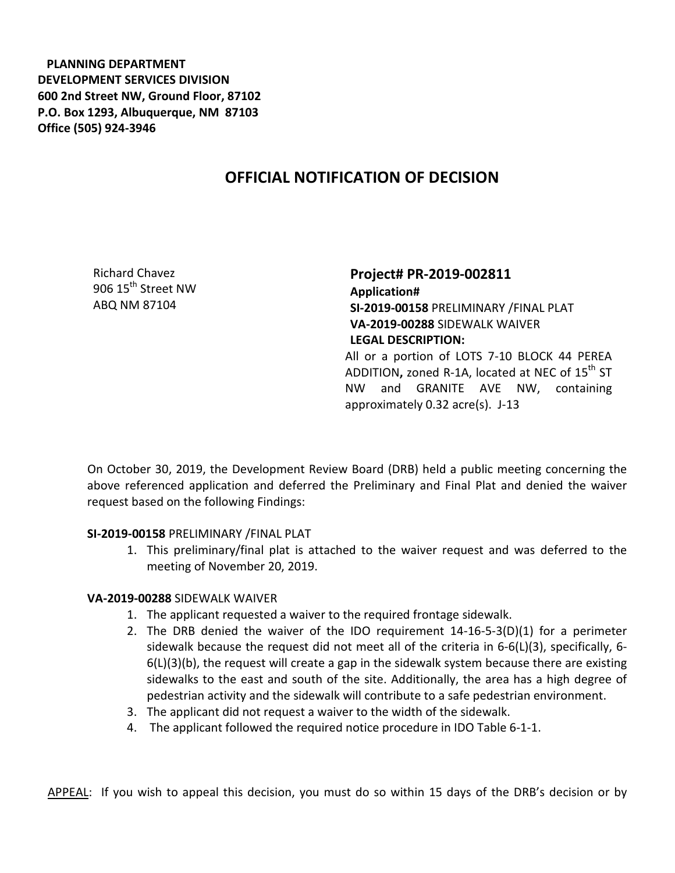**PLANNING DEPARTMENT DEVELOPMENT SERVICES DIVISION 600 2nd Street NW, Ground Floor, 87102 P.O. Box 1293, Albuquerque, NM 87103 Office (505) 924-3946** 

## **OFFICIAL NOTIFICATION OF DECISION**

Richard Chavez 906 15<sup>th</sup> Street NW ABQ NM 87104

## **Project# PR-2019-002811 Application# SI-2019-00158** PRELIMINARY /FINAL PLAT **VA-2019-00288** SIDEWALK WAIVER **LEGAL DESCRIPTION:** All or a portion of LOTS 7-10 BLOCK 44 PEREA ADDITION, zoned R-1A, located at NEC of 15<sup>th</sup> ST NW and GRANITE AVE NW, containing approximately 0.32 acre(s). J-13

On October 30, 2019, the Development Review Board (DRB) held a public meeting concerning the above referenced application and deferred the Preliminary and Final Plat and denied the waiver request based on the following Findings:

## **SI-2019-00158** PRELIMINARY /FINAL PLAT

1. This preliminary/final plat is attached to the waiver request and was deferred to the meeting of November 20, 2019.

## **VA-2019-00288** SIDEWALK WAIVER

- 1. The applicant requested a waiver to the required frontage sidewalk.
- 2. The DRB denied the waiver of the IDO requirement 14-16-5-3(D)(1) for a perimeter sidewalk because the request did not meet all of the criteria in 6-6(L)(3), specifically, 6-  $6(L)(3)(b)$ , the request will create a gap in the sidewalk system because there are existing sidewalks to the east and south of the site. Additionally, the area has a high degree of pedestrian activity and the sidewalk will contribute to a safe pedestrian environment.
- 3. The applicant did not request a waiver to the width of the sidewalk.
- 4. The applicant followed the required notice procedure in IDO Table 6-1-1.